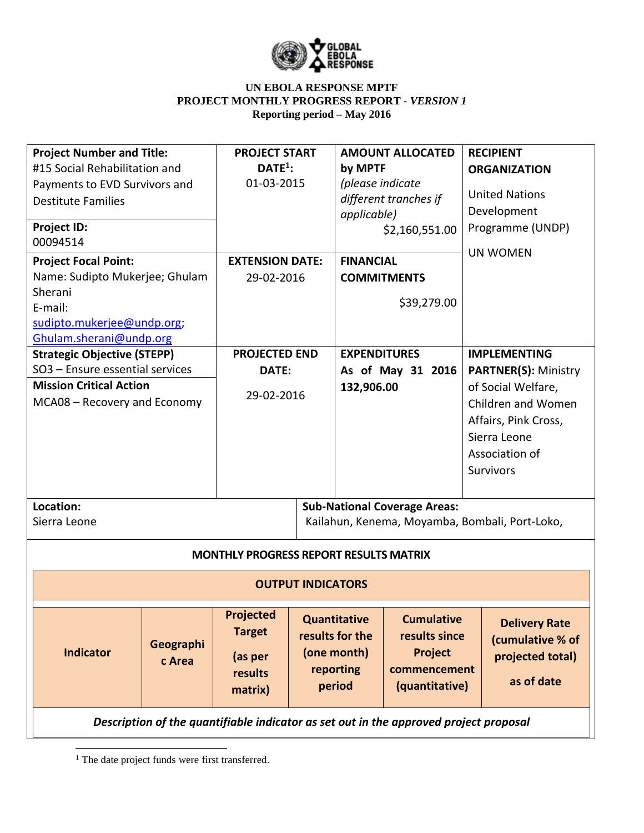

| <b>Project Number and Title:</b><br>#15 Social Rehabilitation and<br>Payments to EVD Survivors and<br><b>Destitute Families</b><br>Project ID:<br>00094514 |                     | <b>PROJECT START</b><br>$DATE1$ :<br>01-03-2015                    |                                                                                       | <b>AMOUNT ALLOCATED</b><br>by MPTF<br>(please indicate<br>different tranches if<br>applicable)<br>\$2,160,551.00 |                                                                                        |  | <b>RECIPIENT</b><br><b>ORGANIZATION</b><br><b>United Nations</b><br>Development<br>Programme (UNDP)             |  |
|------------------------------------------------------------------------------------------------------------------------------------------------------------|---------------------|--------------------------------------------------------------------|---------------------------------------------------------------------------------------|------------------------------------------------------------------------------------------------------------------|----------------------------------------------------------------------------------------|--|-----------------------------------------------------------------------------------------------------------------|--|
| <b>Project Focal Point:</b>                                                                                                                                |                     | <b>EXTENSION DATE:</b>                                             |                                                                                       | <b>FINANCIAL</b>                                                                                                 |                                                                                        |  | <b>UN WOMEN</b>                                                                                                 |  |
| Name: Sudipto Mukerjee; Ghulam                                                                                                                             |                     | 29-02-2016                                                         |                                                                                       | <b>COMMITMENTS</b>                                                                                               |                                                                                        |  |                                                                                                                 |  |
| Sherani<br>E-mail:                                                                                                                                         |                     |                                                                    |                                                                                       |                                                                                                                  | \$39,279.00                                                                            |  |                                                                                                                 |  |
| sudipto.mukerjee@undp.org;                                                                                                                                 |                     |                                                                    |                                                                                       |                                                                                                                  |                                                                                        |  |                                                                                                                 |  |
| Ghulam.sherani@undp.org                                                                                                                                    |                     |                                                                    |                                                                                       |                                                                                                                  |                                                                                        |  |                                                                                                                 |  |
| <b>Strategic Objective (STEPP)</b>                                                                                                                         |                     | <b>PROJECTED END</b>                                               |                                                                                       | <b>EXPENDITURES</b>                                                                                              |                                                                                        |  | <b>IMPLEMENTING</b>                                                                                             |  |
| SO3 - Ensure essential services                                                                                                                            |                     | DATE:                                                              |                                                                                       | As of May 31 2016                                                                                                |                                                                                        |  | <b>PARTNER(S): Ministry</b>                                                                                     |  |
| <b>Mission Critical Action</b><br>MCA08 - Recovery and Economy                                                                                             |                     | 29-02-2016                                                         |                                                                                       | 132,906.00                                                                                                       |                                                                                        |  | of Social Welfare,<br>Children and Women<br>Affairs, Pink Cross,<br>Sierra Leone<br>Association of<br>Survivors |  |
| Location:<br>Sierra Leone                                                                                                                                  |                     |                                                                    | <b>Sub-National Coverage Areas:</b><br>Kailahun, Kenema, Moyamba, Bombali, Port-Loko, |                                                                                                                  |                                                                                        |  |                                                                                                                 |  |
|                                                                                                                                                            |                     | <b>MONTHLY PROGRESS REPORT RESULTS MATRIX</b>                      |                                                                                       |                                                                                                                  |                                                                                        |  |                                                                                                                 |  |
|                                                                                                                                                            |                     |                                                                    | <b>OUTPUT INDICATORS</b>                                                              |                                                                                                                  |                                                                                        |  |                                                                                                                 |  |
| <b>Indicator</b>                                                                                                                                           | Geographi<br>c Area | <b>Projected</b><br><b>Target</b><br>(as per<br>results<br>matrix) |                                                                                       | <b>Quantitative</b><br>results for the<br>(one month)<br>reporting<br>period                                     | <b>Cumulative</b><br>results since<br><b>Project</b><br>commencement<br>(quantitative) |  | <b>Delivery Rate</b><br>(cumulative % of<br>projected total)<br>as of date                                      |  |
| Description of the quantifiable indicator as set out in the approved project proposal                                                                      |                     |                                                                    |                                                                                       |                                                                                                                  |                                                                                        |  |                                                                                                                 |  |

<sup>1</sup> The date project funds were first transferred.

 $\overline{\phantom{a}}$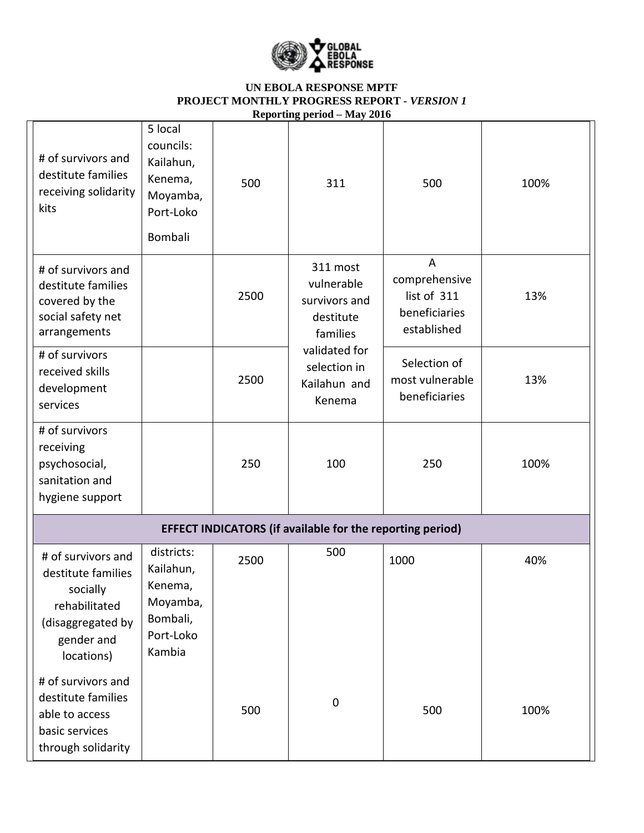

|                                                                                                                        |                                                                                   |      | $\mathbf{A}$                                                     |                                                                                |      |  |  |
|------------------------------------------------------------------------------------------------------------------------|-----------------------------------------------------------------------------------|------|------------------------------------------------------------------|--------------------------------------------------------------------------------|------|--|--|
| # of survivors and<br>destitute families<br>receiving solidarity<br>kits                                               | 5 local<br>councils:<br>Kailahun,<br>Kenema,<br>Moyamba,<br>Port-Loko<br>Bombali  | 500  | 311                                                              | 500                                                                            | 100% |  |  |
| # of survivors and<br>destitute families<br>covered by the<br>social safety net<br>arrangements                        |                                                                                   | 2500 | 311 most<br>vulnerable<br>survivors and<br>destitute<br>families | $\overline{A}$<br>comprehensive<br>list of 311<br>beneficiaries<br>established | 13%  |  |  |
| # of survivors<br>received skills<br>development<br>services                                                           |                                                                                   | 2500 | validated for<br>selection in<br>Kailahun and<br>Kenema          | Selection of<br>most vulnerable<br>beneficiaries                               | 13%  |  |  |
| # of survivors<br>receiving<br>psychosocial,<br>sanitation and<br>hygiene support                                      |                                                                                   | 250  | 100                                                              | 250                                                                            | 100% |  |  |
| <b>EFFECT INDICATORS (if available for the reporting period)</b>                                                       |                                                                                   |      |                                                                  |                                                                                |      |  |  |
| # of survivors and<br>destitute families<br>socially<br>rehabilitated<br>(disaggregated by<br>gender and<br>locations) | districts:<br>Kailahun,<br>Kenema,<br>Moyamba,<br>Bombali,<br>Port-Loko<br>Kambia | 2500 | 500                                                              | 1000                                                                           | 40%  |  |  |
| # of survivors and<br>destitute families<br>able to access<br>basic services<br>through solidarity                     |                                                                                   | 500  | $\boldsymbol{0}$                                                 | 500                                                                            | 100% |  |  |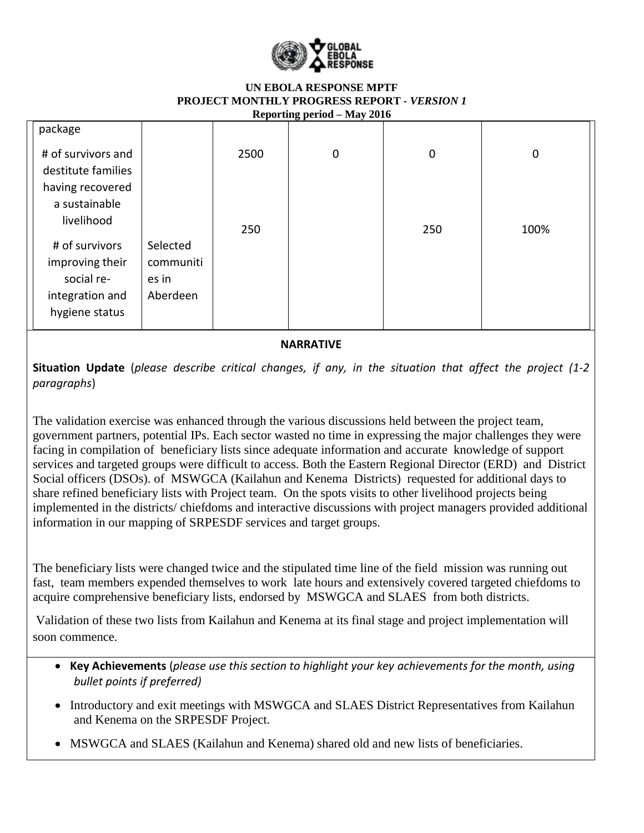

|                    |           |      | $\frac{1}{20100}$ $\frac{1}{20100}$ |             |      |
|--------------------|-----------|------|-------------------------------------|-------------|------|
| package            |           |      |                                     |             |      |
| # of survivors and |           | 2500 | $\boldsymbol{0}$                    | $\mathbf 0$ | 0    |
| destitute families |           |      |                                     |             |      |
| having recovered   |           |      |                                     |             |      |
| a sustainable      |           |      |                                     |             |      |
| livelihood         |           | 250  |                                     | 250         | 100% |
| # of survivors     | Selected  |      |                                     |             |      |
| improving their    | communiti |      |                                     |             |      |
| social re-         | es in     |      |                                     |             |      |
| integration and    | Aberdeen  |      |                                     |             |      |
| hygiene status     |           |      |                                     |             |      |
|                    |           |      |                                     |             |      |

**NARRATIVE**

**Situation Update** (*please describe critical changes, if any, in the situation that affect the project (1-2 paragraphs*)

The validation exercise was enhanced through the various discussions held between the project team, government partners, potential IPs. Each sector wasted no time in expressing the major challenges they were facing in compilation of beneficiary lists since adequate information and accurate knowledge of support services and targeted groups were difficult to access. Both the Eastern Regional Director (ERD) and District Social officers (DSOs). of MSWGCA (Kailahun and Kenema Districts) requested for additional days to share refined beneficiary lists with Project team. On the spots visits to other livelihood projects being implemented in the districts/ chiefdoms and interactive discussions with project managers provided additional information in our mapping of SRPESDF services and target groups.

The beneficiary lists were changed twice and the stipulated time line of the field mission was running out fast, team members expended themselves to work late hours and extensively covered targeted chiefdoms to acquire comprehensive beneficiary lists, endorsed by MSWGCA and SLAES from both districts.

Validation of these two lists from Kailahun and Kenema at its final stage and project implementation will soon commence.

- **Key Achievements** (*please use this section to highlight your key achievements for the month, using bullet points if preferred)*
- Introductory and exit meetings with MSWGCA and SLAES District Representatives from Kailahun and Kenema on the SRPESDF Project.
- MSWGCA and SLAES (Kailahun and Kenema) shared old and new lists of beneficiaries.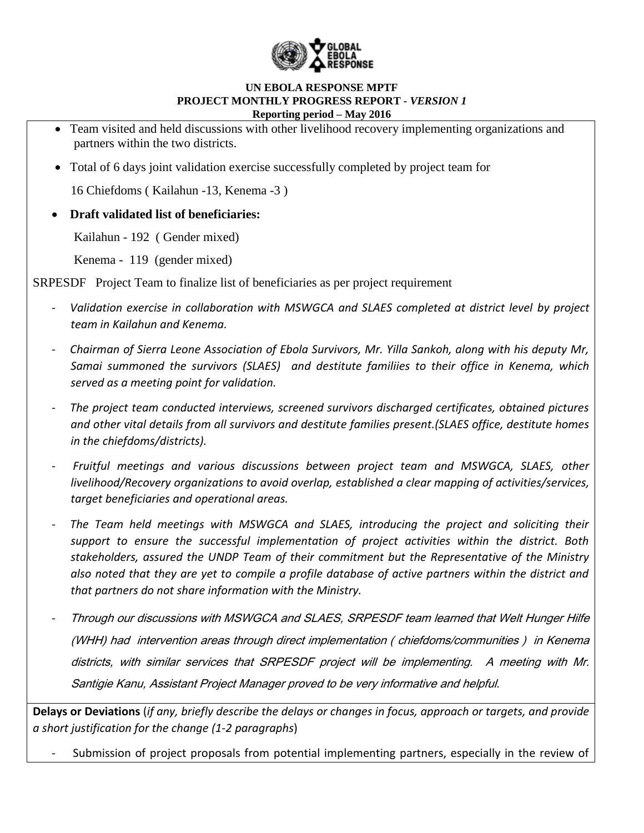

- Team visited and held discussions with other livelihood recovery implementing organizations and partners within the two districts.
- Total of 6 days joint validation exercise successfully completed by project team for

16 Chiefdoms ( Kailahun -13, Kenema -3 )

**Draft validated list of beneficiaries:**

Kailahun - 192 ( Gender mixed)

Kenema - 119 (gender mixed)

SRPESDF Project Team to finalize list of beneficiaries as per project requirement

- *Validation exercise in collaboration with MSWGCA and SLAES completed at district level by project team in Kailahun and Kenema.*
- *Chairman of Sierra Leone Association of Ebola Survivors, Mr. Yilla Sankoh, along with his deputy Mr, Samai summoned the survivors (SLAES) and destitute familiies to their office in Kenema, which served as a meeting point for validation.*
- *The project team conducted interviews, screened survivors discharged certificates, obtained pictures and other vital details from all survivors and destitute families present.(SLAES office, destitute homes in the chiefdoms/districts).*
- *Fruitful meetings and various discussions between project team and MSWGCA, SLAES, other livelihood/Recovery organizations to avoid overlap, established a clear mapping of activities/services, target beneficiaries and operational areas.*
- *The Team held meetings with MSWGCA and SLAES, introducing the project and soliciting their support to ensure the successful implementation of project activities within the district. Both stakeholders, assured the UNDP Team of their commitment but the Representative of the Ministry also noted that they are yet to compile a profile database of active partners within the district and that partners do not share information with the Ministry.*
- Through our discussions with MSWGCA and SLAES, SRPESDF team learned that Welt Hunger Hilfe (WHH) had intervention areas through direct implementation ( chiefdoms/communities ) in Kenema districts, with similar services that SRPESDF project will be implementing. A meeting with Mr. Santigie Kanu, Assistant Project Manager proved to be very informative and helpful.

**Delays or Deviations** (*if any, briefly describe the delays or changes in focus, approach or targets, and provide a short justification for the change (1-2 paragraphs*)

Submission of project proposals from potential implementing partners, especially in the review of